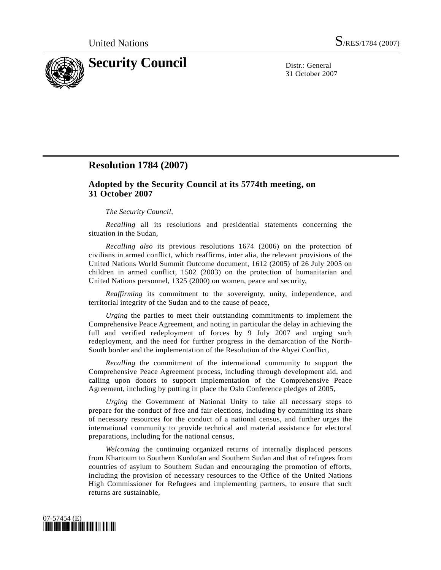

31 October 2007

## **Resolution 1784 (2007)**

## **Adopted by the Security Council at its 5774th meeting, on 31 October 2007**

## *The Security Council*,

*Recalling* all its resolutions and presidential statements concerning the situation in the Sudan,

*Recalling also* its previous resolutions 1674 (2006) on the protection of civilians in armed conflict, which reaffirms, inter alia, the relevant provisions of the United Nations World Summit Outcome document, 1612 (2005) of 26 July 2005 on children in armed conflict, 1502 (2003) on the protection of humanitarian and United Nations personnel, 1325 (2000) on women, peace and security,

*Reaffirming* its commitment to the sovereignty, unity, independence, and territorial integrity of the Sudan and to the cause of peace,

*Urging* the parties to meet their outstanding commitments to implement the Comprehensive Peace Agreement, and noting in particular the delay in achieving the full and verified redeployment of forces by 9 July 2007 and urging such redeployment, and the need for further progress in the demarcation of the North-South border and the implementation of the Resolution of the Abyei Conflict,

*Recalling* the commitment of the international community to support the Comprehensive Peace Agreement process, including through development aid, and calling upon donors to support implementation of the Comprehensive Peace Agreement, including by putting in place the Oslo Conference pledges of 2005,

*Urging* the Government of National Unity to take all necessary steps to prepare for the conduct of free and fair elections, including by committing its share of necessary resources for the conduct of a national census, and further urges the international community to provide technical and material assistance for electoral preparations, including for the national census,

*Welcoming* the continuing organized returns of internally displaced persons from Khartoum to Southern Kordofan and Southern Sudan and that of refugees from countries of asylum to Southern Sudan and encouraging the promotion of efforts, including the provision of necessary resources to the Office of the United Nations High Commissioner for Refugees and implementing partners, to ensure that such returns are sustainable,

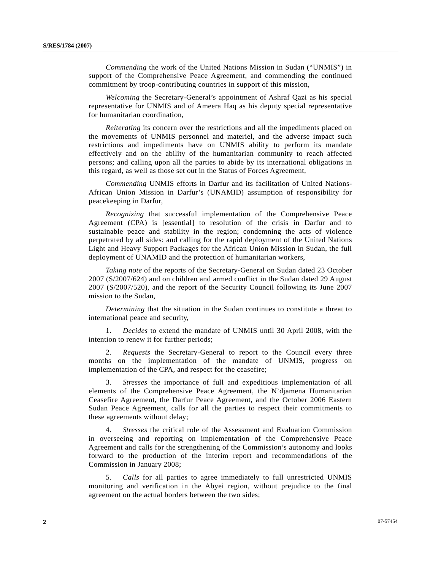*Commending* the work of the United Nations Mission in Sudan ("UNMIS") in support of the Comprehensive Peace Agreement, and commending the continued commitment by troop-contributing countries in support of this mission,

*Welcoming* the Secretary-General's appointment of Ashraf Qazi as his special representative for UNMIS and of Ameera Haq as his deputy special representative for humanitarian coordination,

*Reiterating* its concern over the restrictions and all the impediments placed on the movements of UNMIS personnel and materiel, and the adverse impact such restrictions and impediments have on UNMIS ability to perform its mandate effectively and on the ability of the humanitarian community to reach affected persons; and calling upon all the parties to abide by its international obligations in this regard, as well as those set out in the Status of Forces Agreement,

*Commending* UNMIS efforts in Darfur and its facilitation of United Nations-African Union Mission in Darfur's (UNAMID) assumption of responsibility for peacekeeping in Darfur,

*Recognizing* that successful implementation of the Comprehensive Peace Agreement (CPA) is [essential] to resolution of the crisis in Darfur and to sustainable peace and stability in the region; condemning the acts of violence perpetrated by all sides: and calling for the rapid deployment of the United Nations Light and Heavy Support Packages for the African Union Mission in Sudan, the full deployment of UNAMID and the protection of humanitarian workers,

*Taking note* of the reports of the Secretary-General on Sudan dated 23 October 2007 (S/2007/624) and on children and armed conflict in the Sudan dated 29 August 2007 (S/2007/520), and the report of the Security Council following its June 2007 mission to the Sudan,

*Determining* that the situation in the Sudan continues to constitute a threat to international peace and security,

 1. *Decides* to extend the mandate of UNMIS until 30 April 2008, with the intention to renew it for further periods;

 2. *Requests* the Secretary-General to report to the Council every three months on the implementation of the mandate of UNMIS, progress on implementation of the CPA, and respect for the ceasefire;

 3. *Stresses* the importance of full and expeditious implementation of all elements of the Comprehensive Peace Agreement, the N'djamena Humanitarian Ceasefire Agreement, the Darfur Peace Agreement, and the October 2006 Eastern Sudan Peace Agreement, calls for all the parties to respect their commitments to these agreements without delay;

 4. *Stresses* the critical role of the Assessment and Evaluation Commission in overseeing and reporting on implementation of the Comprehensive Peace Agreement and calls for the strengthening of the Commission's autonomy and looks forward to the production of the interim report and recommendations of the Commission in January 2008;

 5. *Calls* for all parties to agree immediately to full unrestricted UNMIS monitoring and verification in the Abyei region, without prejudice to the final agreement on the actual borders between the two sides;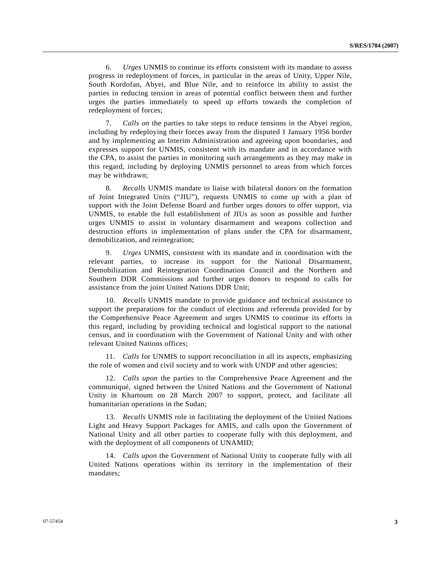6. *Urges* UNMIS to continue its efforts consistent with its mandate to assess progress in redeployment of forces, in particular in the areas of Unity, Upper Nile, South Kordofan, Abyei, and Blue Nile, and to reinforce its ability to assist the parties in reducing tension in areas of potential conflict between them and further urges the parties immediately to speed up efforts towards the completion of redeployment of forces;

 7. *Calls on* the parties to take steps to reduce tensions in the Abyei region, including by redeploying their forces away from the disputed 1 January 1956 border and by implementing an Interim Administration and agreeing upon boundaries, and expresses support for UNMIS, consistent with its mandate and in accordance with the CPA, to assist the parties in monitoring such arrangements as they may make in this regard, including by deploying UNMIS personnel to areas from which forces may be withdrawn;

 8. *Recalls* UNMIS mandate to liaise with bilateral donors on the formation of Joint Integrated Units ("JIU"), requests UNMIS to come up with a plan of support with the Joint Defense Board and further urges donors to offer support, via UNMIS, to enable the full establishment of JIUs as soon as possible and further urges UNMIS to assist in voluntary disarmament and weapons collection and destruction efforts in implementation of plans under the CPA for disarmament, demobilization, and reintegration;

 9. *Urges* UNMIS, consistent with its mandate and in coordination with the relevant parties, to increase its support for the National Disarmament, Demobilization and Reintegration Coordination Council and the Northern and Southern DDR Commissions and further urges donors to respond to calls for assistance from the joint United Nations DDR Unit;

 10. *Recalls* UNMIS mandate to provide guidance and technical assistance to support the preparations for the conduct of elections and referenda provided for by the Comprehensive Peace Agreement and urges UNMIS to continue its efforts in this regard, including by providing technical and logistical support to the national census, and in coordination with the Government of National Unity and with other relevant United Nations offices;

 11. *Calls* for UNMIS to support reconciliation in all its aspects, emphasizing the role of women and civil society and to work with UNDP and other agencies;

 12. *Calls upon* the parties to the Comprehensive Peace Agreement and the communiqué, signed between the United Nations and the Government of National Unity in Khartoum on 28 March 2007 to support, protect, and facilitate all humanitarian operations in the Sudan;

 13. *Recalls* UNMIS role in facilitating the deployment of the United Nations Light and Heavy Support Packages for AMIS, and calls upon the Government of National Unity and all other parties to cooperate fully with this deployment, and with the deployment of all components of UNAMID;

 14. *Calls upon* the Government of National Unity to cooperate fully with all United Nations operations within its territory in the implementation of their mandates;